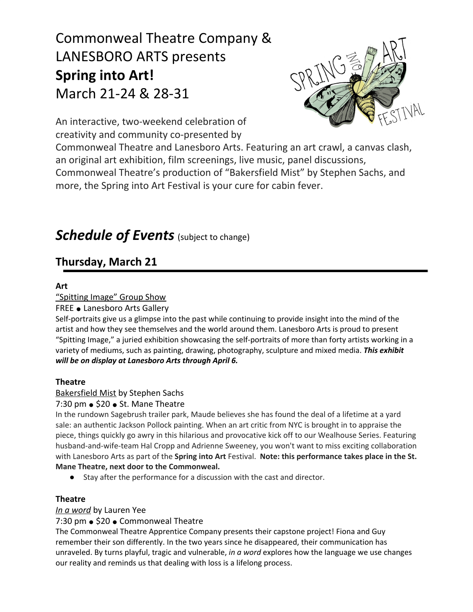# Commonweal Theatre Company & LANESBORO ARTS presents **Spring into Art!** March 21-24 & 28-31



An interactive, two-weekend celebration of creativity and community co-presented by

Commonweal Theatre and Lanesboro Arts. Featuring an art crawl, a canvas clash, an original art exhibition, film screenings, live music, panel discussions, Commonweal Theatre's production of "Bakersfield Mist" by Stephen Sachs, and more, the Spring into Art Festival is your cure for cabin fever.

# *Schedule of Events* (subject to change)

# **Thursday, March 21**

# **Art**

# "Spitting Image" Group Show

# FREE ● Lanesboro Arts Gallery

Self-portraits give us a glimpse into the past while continuing to provide insight into the mind of the artist and how they see themselves and the world around them. Lanesboro Arts is proud to present "Spitting Image," a juried exhibition showcasing the self-portraits of more than forty artists working in a variety of mediums, such as painting, drawing, photography, sculpture and mixed media. *This exhibit will be on display at Lanesboro Arts through April 6.*

# **Theatre**

# Bakersfield Mist by Stephen Sachs

# 7:30 pm • \$20 • St. Mane Theatre

In the rundown Sagebrush trailer park, Maude believes she has found the deal of a lifetime at a yard sale: an authentic Jackson Pollock painting. When an art critic from NYC is brought in to appraise the piece, things quickly go awry in this hilarious and provocative kick off to our Wealhouse Series. Featuring husband-and-wife-team Hal Cropp and Adrienne Sweeney, you won't want to miss exciting collaboration with Lanesboro Arts as part of the **Spring into Art** Festival. **Note: this performance takes place in the St. Mane Theatre, next door to the Commonweal.**

*●* Stay after the performance for a discussion with the cast and director.

# **Theatre**

# *In a word* by Lauren Yee

# 7:30 pm ● \$20 ● Commonweal Theatre

The Commonweal Theatre Apprentice Company presents their capstone project! Fiona and Guy remember their son differently. In the two years since he disappeared, their communication has unraveled. By turns playful, tragic and vulnerable, *in a word* explores how the language we use changes our reality and reminds us that dealing with loss is a lifelong process.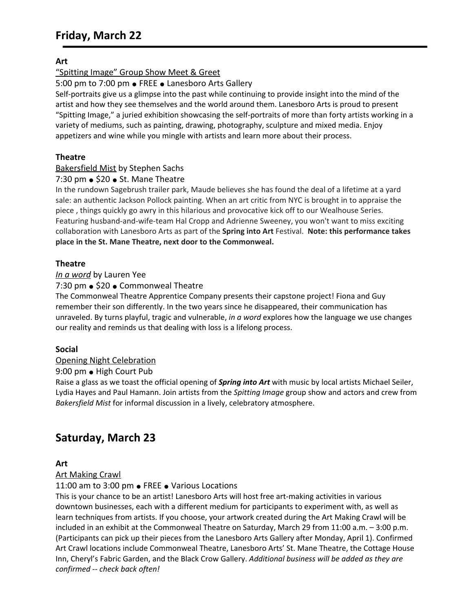# **Art**

"Spitting Image" Group Show Meet & Greet

5:00 pm to 7:00 pm ● FREE ● Lanesboro Arts Gallery

Self-portraits give us a glimpse into the past while continuing to provide insight into the mind of the artist and how they see themselves and the world around them. Lanesboro Arts is proud to present "Spitting Image," a juried exhibition showcasing the self-portraits of more than forty artists working in a variety of mediums, such as painting, drawing, photography, sculpture and mixed media. Enjoy appetizers and wine while you mingle with artists and learn more about their process.

#### **Theatre**

### Bakersfield Mist by Stephen Sachs

#### 7:30 pm ● \$20 ● St. Mane Theatre

In the rundown Sagebrush trailer park, Maude believes she has found the deal of a lifetime at a yard sale: an authentic Jackson Pollock painting. When an art critic from NYC is brought in to appraise the piece , things quickly go awry in this hilarious and provocative kick off to our Wealhouse Series. Featuring husband-and-wife-team Hal Cropp and Adrienne Sweeney, you won't want to miss exciting collaboration with Lanesboro Arts as part of the **Spring into Art** Festival. **Note: this performance takes place in the St. Mane Theatre, next door to the Commonweal.**

### **Theatre**

#### *In a word* by Lauren Yee

#### 7:30 pm • \$20 • Commonweal Theatre

The Commonweal Theatre Apprentice Company presents their capstone project! Fiona and Guy remember their son differently. In the two years since he disappeared, their communication has unraveled. By turns playful, tragic and vulnerable, *in a word* explores how the language we use changes our reality and reminds us that dealing with loss is a lifelong process.

#### **Social**

#### Opening Night Celebration

#### 9:00 pm ● High Court Pub

Raise a glass as we toast the official opening of *Spring into Art* with music by local artists Michael Seiler, Lydia Hayes and Paul Hamann. Join artists from the *Spitting Image* group show and actors and crew from *Bakersfield Mist* for informal discussion in a lively, celebratory atmosphere.

# **Saturday, March 23**

#### **Art**

#### Art Making Crawl

11:00 am to 3:00 pm ● FREE ● Various Locations

This is your chance to be an artist! Lanesboro Arts will host free art-making activities in various downtown businesses, each with a different medium for participants to experiment with, as well as learn techniques from artists. If you choose, your artwork created during the Art Making Crawl will be included in an exhibit at the Commonweal Theatre on Saturday, March 29 from 11:00 a.m. – 3:00 p.m. (Participants can pick up their pieces from the Lanesboro Arts Gallery after Monday, April 1). Confirmed Art Crawl locations include Commonweal Theatre, Lanesboro Arts' St. Mane Theatre, the Cottage House Inn, Cheryl's Fabric Garden, and the Black Crow Gallery. *Additional business will be added as they are confirmed -- check back often!*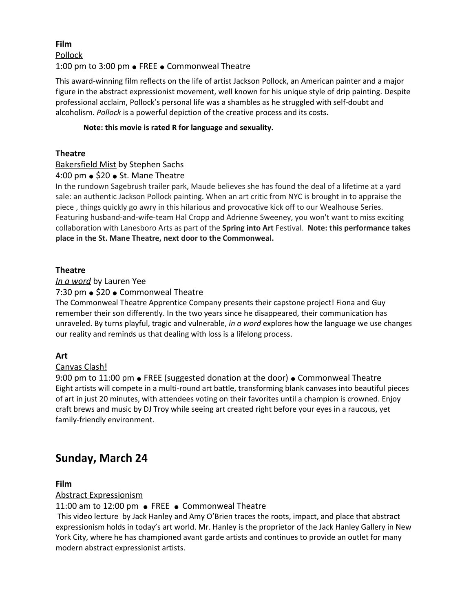# **Film** Pollock 1:00 pm to 3:00 pm ● FREE ● Commonweal Theatre

This award-winning film reflects on the life of artist Jackson Pollock, an American painter and a major figure in the abstract [expressionist](https://en.wikipedia.org/wiki/Abstract_expressionism) movement, well known for his unique style of drip [painting](https://en.wikipedia.org/wiki/Drip_painting). Despite professional acclaim, Pollock's personal life was a shambles as he struggled with self-doubt and alcoholism. *Pollock* is a powerful depiction of the creative process and its costs.

#### **Note: this movie is rated R for language and sexuality.**

# **Theatre**

# Bakersfield Mist by Stephen Sachs

# 4:00 pm ● \$20 ● St. Mane Theatre

In the rundown Sagebrush trailer park, Maude believes she has found the deal of a lifetime at a yard sale: an authentic Jackson Pollock painting. When an art critic from NYC is brought in to appraise the piece , things quickly go awry in this hilarious and provocative kick off to our Wealhouse Series. Featuring husband-and-wife-team Hal Cropp and Adrienne Sweeney, you won't want to miss exciting collaboration with Lanesboro Arts as part of the **Spring into Art** Festival. **Note: this performance takes place in the St. Mane Theatre, next door to the Commonweal.**

### **Theatre**

### *In a word* by Lauren Yee

### 7:30 pm ● \$20 ● Commonweal Theatre

The Commonweal Theatre Apprentice Company presents their capstone project! Fiona and Guy remember their son differently. In the two years since he disappeared, their communication has unraveled. By turns playful, tragic and vulnerable, *in a word* explores how the language we use changes our reality and reminds us that dealing with loss is a lifelong process.

# **Art**

# Canvas Clash!

9:00 pm to 11:00 pm • FREE (suggested donation at the door) • Commonweal Theatre Eight artists will compete in a multi-round art battle, transforming blank canvases into beautiful pieces of art in just 20 minutes, with attendees voting on their favorites until a champion is crowned. Enjoy craft brews and music by DJ Troy while seeing art created right before your eyes in a raucous, yet family-friendly environment.

# **Sunday, March 24**

# **Film**

# Abstract Expressionism

11:00 am to 12:00 pm ● FREE ● Commonweal Theatre

This video lecture by Jack Hanley and Amy O'Brien traces the roots, impact, and place that abstract expressionism holds in today's art world. Mr. Hanley is the proprietor of the Jack Hanley Gallery in New York City, where he has championed avant garde artists and continues to provide an outlet for many modern abstract expressionist artists.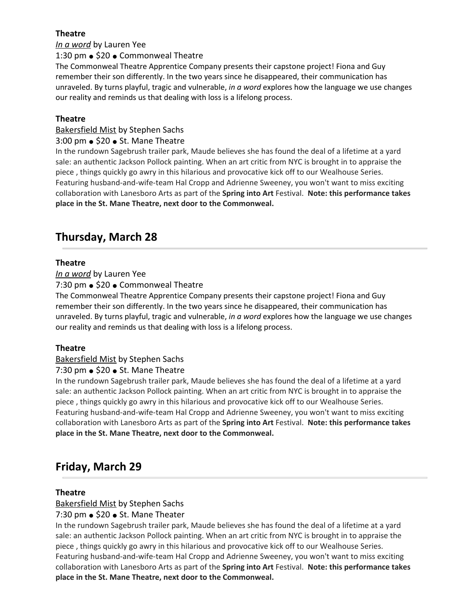# **Theatre**

*In a word* by Lauren Yee

1:30 pm ● \$20 ● Commonweal Theatre

The Commonweal Theatre Apprentice Company presents their capstone project! Fiona and Guy remember their son differently. In the two years since he disappeared, their communication has unraveled. By turns playful, tragic and vulnerable, *in a word* explores how the language we use changes our reality and reminds us that dealing with loss is a lifelong process.

### **Theatre**

#### Bakersfield Mist by Stephen Sachs

#### 3:00 pm ● \$20 ● St. Mane Theatre

In the rundown Sagebrush trailer park, Maude believes she has found the deal of a lifetime at a yard sale: an authentic Jackson Pollock painting. When an art critic from NYC is brought in to appraise the piece , things quickly go awry in this hilarious and provocative kick off to our Wealhouse Series. Featuring husband-and-wife-team Hal Cropp and Adrienne Sweeney, you won't want to miss exciting collaboration with Lanesboro Arts as part of the **Spring into Art** Festival. **Note: this performance takes place in the St. Mane Theatre, next door to the Commonweal.**

# **Thursday, March 28**

### **Theatre**

*In a word* by Lauren Yee

7:30 pm • \$20 • Commonweal Theatre

The Commonweal Theatre Apprentice Company presents their capstone project! Fiona and Guy remember their son differently. In the two years since he disappeared, their communication has unraveled. By turns playful, tragic and vulnerable, *in a word* explores how the language we use changes our reality and reminds us that dealing with loss is a lifelong process.

#### **Theatre**

#### Bakersfield Mist by Stephen Sachs

7:30 pm ● \$20 ● St. Mane Theatre

In the rundown Sagebrush trailer park, Maude believes she has found the deal of a lifetime at a yard sale: an authentic Jackson Pollock painting. When an art critic from NYC is brought in to appraise the piece , things quickly go awry in this hilarious and provocative kick off to our Wealhouse Series. Featuring husband-and-wife-team Hal Cropp and Adrienne Sweeney, you won't want to miss exciting collaboration with Lanesboro Arts as part of the **Spring into Art** Festival. **Note: this performance takes place in the St. Mane Theatre, next door to the Commonweal.**

# **Friday, March 29**

#### **Theatre**

#### Bakersfield Mist by Stephen Sachs

#### 7:30 pm  $\bullet$  \$20  $\bullet$  St. Mane Theater

In the rundown Sagebrush trailer park, Maude believes she has found the deal of a lifetime at a yard sale: an authentic Jackson Pollock painting. When an art critic from NYC is brought in to appraise the piece , things quickly go awry in this hilarious and provocative kick off to our Wealhouse Series. Featuring husband-and-wife-team Hal Cropp and Adrienne Sweeney, you won't want to miss exciting collaboration with Lanesboro Arts as part of the **Spring into Art** Festival. **Note: this performance takes place in the St. Mane Theatre, next door to the Commonweal.**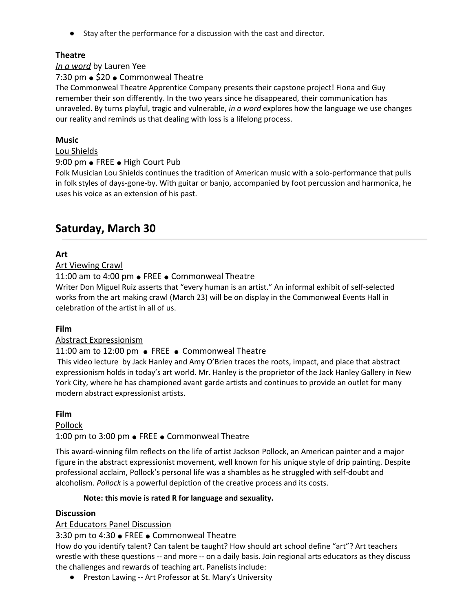*●* Stay after the performance for a discussion with the cast and director.

# **Theatre**

### *In a word* by Lauren Yee

### 7:30 pm • \$20 • Commonweal Theatre

The Commonweal Theatre Apprentice Company presents their capstone project! Fiona and Guy remember their son differently. In the two years since he disappeared, their communication has unraveled. By turns playful, tragic and vulnerable, *in a word* explores how the language we use changes our reality and reminds us that dealing with loss is a lifelong process.

### **Music**

#### Lou Shields

#### 9:00 pm • FREE • High Court Pub

Folk Musician Lou Shields continues the tradition of American music with a solo-performance that pulls in folk styles of days-gone-by. With guitar or banjo, accompanied by foot percussion and harmonica, he uses his voice as an extension of his past.

# **Saturday, March 30**

# **Art**

### Art Viewing Crawl

#### 11:00 am to 4:00 pm ● FREE ● Commonweal Theatre

Writer Don Miguel Ruiz asserts that "every human is an artist." An informal exhibit of self-selected works from the art making crawl (March 23) will be on display in the Commonweal Events Hall in celebration of the artist in all of us.

# **Film**

#### Abstract Expressionism

# 11:00 am to 12:00 pm ● FREE ● Commonweal Theatre

This video lecture by Jack Hanley and Amy O'Brien traces the roots, impact, and place that abstract expressionism holds in today's art world. Mr. Hanley is the proprietor of the Jack Hanley Gallery in New York City, where he has championed avant garde artists and continues to provide an outlet for many modern abstract expressionist artists.

#### **Film**

#### Pollock

1:00 pm to 3:00 pm ● FREE ● Commonweal Theatre

This award-winning film reflects on the life of artist Jackson Pollock, an American painter and a major figure in the abstract [expressionist](https://en.wikipedia.org/wiki/Abstract_expressionism) movement, well known for his unique style of drip [painting](https://en.wikipedia.org/wiki/Drip_painting). Despite professional acclaim, Pollock's personal life was a shambles as he struggled with self-doubt and alcoholism. *Pollock* is a powerful depiction of the creative process and its costs.

#### **Note: this movie is rated R for language and sexuality.**

#### **Discussion**

# Art Educators Panel Discussion

#### 3:30 pm to 4:30 ● FREE ● Commonweal Theatre

How do you identify talent? Can talent be taught? How should art school define "art"? Art teachers wrestle with these questions -- and more -- on a daily basis. Join regional arts educators as they discuss the challenges and rewards of teaching art. Panelists include:

● Preston Lawing -- Art Professor at St. Mary's University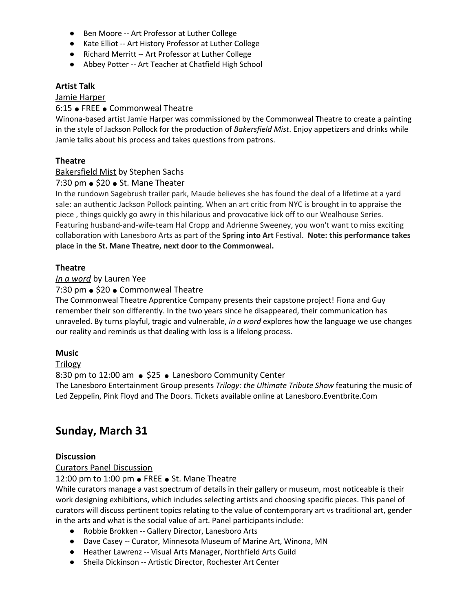- Ben Moore -- Art Professor at Luther College
- Kate Elliot -- Art History Professor at Luther College
- Richard Merritt -- Art Professor at Luther College
- Abbey Potter -- Art Teacher at Chatfield High School

#### **Artist Talk**

#### Jamie Harper

#### 6:15 ● FREE ● Commonweal Theatre

Winona-based artist Jamie Harper was commissioned by the Commonweal Theatre to create a painting in the style of Jackson Pollock for the production of *Bakersfield Mist*. Enjoy appetizers and drinks while Jamie talks about his process and takes questions from patrons.

#### **Theatre**

#### Bakersfield Mist by Stephen Sachs

#### 7:30 pm  $\bullet$  \$20  $\bullet$  St. Mane Theater

In the rundown Sagebrush trailer park, Maude believes she has found the deal of a lifetime at a yard sale: an authentic Jackson Pollock painting. When an art critic from NYC is brought in to appraise the piece , things quickly go awry in this hilarious and provocative kick off to our Wealhouse Series. Featuring husband-and-wife-team Hal Cropp and Adrienne Sweeney, you won't want to miss exciting collaboration with Lanesboro Arts as part of the **Spring into Art** Festival. **Note: this performance takes place in the St. Mane Theatre, next door to the Commonweal.**

#### **Theatre**

#### *In a word* by Lauren Yee

#### 7:30 pm • \$20 • Commonweal Theatre

The Commonweal Theatre Apprentice Company presents their capstone project! Fiona and Guy remember their son differently. In the two years since he disappeared, their communication has unraveled. By turns playful, tragic and vulnerable, *in a word* explores how the language we use changes our reality and reminds us that dealing with loss is a lifelong process.

#### **Music**

#### Trilogy

#### 8:30 pm to 12:00 am • \$25 • Lanesboro Community Center

The Lanesboro Entertainment Group presents *Trilogy: the Ultimate Tribute Show* featuring the music of Led Zeppelin, Pink Floyd and The Doors. Tickets available online at Lanesboro.Eventbrite.Com

# **Sunday, March 31**

#### **Discussion**

#### Curators Panel Discussion

#### 12:00 pm to 1:00 pm ● FREE ● St. Mane Theatre

While curators manage a vast spectrum of details in their gallery or museum, most noticeable is their work designing exhibitions, which includes selecting artists and choosing specific pieces. This panel of curators will discuss pertinent topics relating to the value of contemporary art vs traditional art, gender in the arts and what is the social value of art. Panel participants include:

- Robbie Brokken -- Gallery Director, Lanesboro Arts
- Dave Casey -- Curator, Minnesota Museum of Marine Art, Winona, MN
- Heather Lawrenz -- Visual Arts Manager, Northfield Arts Guild
- Sheila Dickinson -- Artistic Director, Rochester Art Center